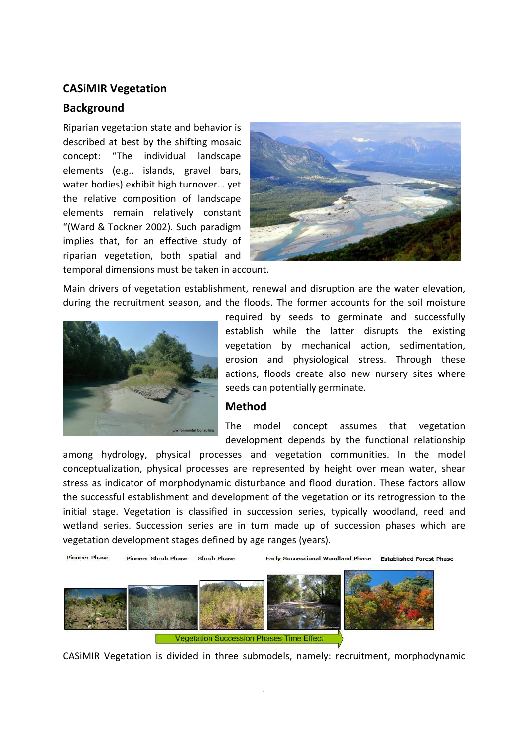# **CASiMIR Vegetation**

# **Background**

Riparian vegetation state and behavior is described at best by the shifting mosaic concept: "The individual landscape elements (e.g., islands, gravel bars, water bodies) exhibit high turnover… yet the relative composition of landscape elements remain relatively constant "(Ward & Tockner 2002). Such paradigm implies that, for an effective study of riparian vegetation, both spatial and temporal dimensions must be taken in account.



Main drivers of vegetation establishment, renewal and disruption are the water elevation, during the recruitment season, and the floods. The former accounts for the soil moisture



required by seeds to germinate and successfully establish while the latter disrupts the existing vegetation by mechanical action, sedimentation, erosion and physiological stress. Through these actions, floods create also new nursery sites where seeds can potentially germinate.

#### **Method**

The model concept assumes that vegetation development depends by the functional relationship

among hydrology, physical processes and vegetation communities. In the model conceptualization, physical processes are represented by height over mean water, shear stress as indicator of morphodynamic disturbance and flood duration. These factors allow the successful establishment and development of the vegetation or its retrogression to the initial stage. Vegetation is classified in succession series, typically woodland, reed and wetland series. Succession series are in turn made up of succession phases which are vegetation development stages defined by age ranges (years).



CASiMIR Vegetation is divided in three submodels, namely: recruitment, morphodynamic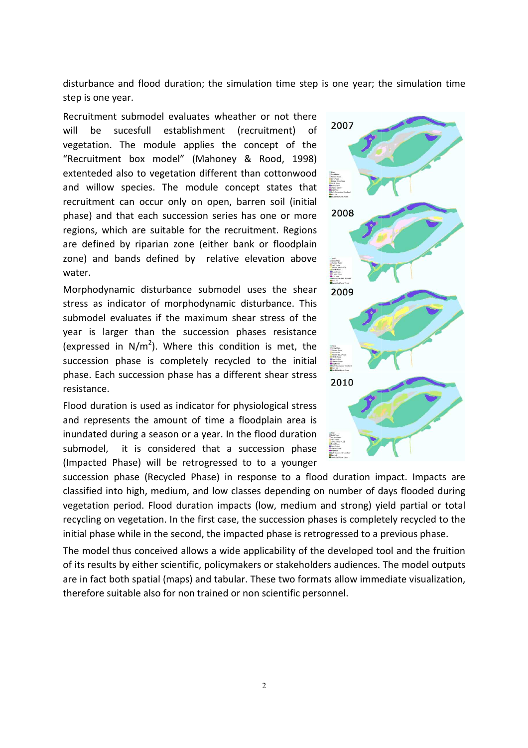disturbance and flood duration; the simulation time step is one year; the simulation time step is one year.

Recruitment submodel evaluates wheather or not there will be sucesfull establishment (recruitment) of vegetation. The module applies the concept of the "Recruitment box model" (Mahoney & Rood, 1998) extenteded also to vegetation different than cottonwood and willow species. The module concept states that recruitment can occur only on open, barren soil (initial phase) and that each succession series has one or more regions, which are suitable for the recruitment. Regions are defined by riparian zone (either bank or floodplain zone) and bands defined by relative elevation above water. , which are suitable for the recruitment. Regions<br>
Fined by riparian zone (either bank or floodplain<br>
and bands defined by relative elevation above<br>
pdynamic disturbance submodel uses the shear<br>
as indicator of morphodynam

Morphodynamic disturbance submodel uses the shear stress as indicator of morphodynamic disturbance. This submodel evaluates if the maximum shear stress of the year is larger than the succession phases resistance (expressed in  $N/m^2$ ). Where this condition is met, the succession phase is completely recycled to the initial phase. Each succession phase has a different shear stress resistance.

Flood duration is used as indicator for physiological stress and represents the amount of time a floodplain area is inundated during a season or a year. In the flood duration submodel, it is considered that a succession phase (Impacted Phase) will be retrogressed to to a younger

ation time step is one year;<br>
er or not there<br>
cruitment) of<br>
Rood, 1998)<br>
an cottonwood<br>
pt states that<br>
ren soil (initial<br>
ren soil (initial<br>
so one or more<br>
ation above<br>
step some or more<br>
states the section above<br>
susc

succession phase (Recycled Phase) in response to a flood duration impact. Impacts are classified into high, medium, and low classes depending on number of days flooded during vegetation period. Flood duration impacts (low, medium and strong) yield partial or total recycling on vegetation. In the first case, the succession phases is completely recycled to the initial phase while in the second, the impacted phase is retrogressed to a previous phase.

The model thus conceived allows a wide applicability of the developed tool and the fruition of its results by either scientific, policymakers or stakeholders audiences. The model outputs<br>are in fact both spatial (maps) and tabular. These two formats allow immediate visualization,<br>therefore suitable also for non t are in fact both spatial (maps) and tabular. These two formats allow immediate visualization, therefore suitable also for non trained or non scientific personnel